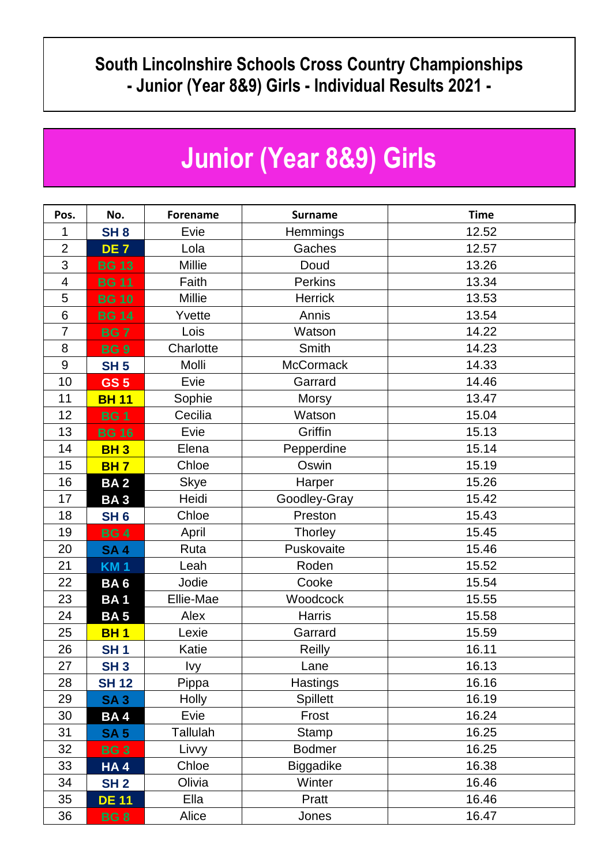## **South Lincolnshire Schools Cross Country Championships - Junior (Year 8&9) Girls - Individual Results 2021 -**

## **Junior (Year 8&9) Girls**

| Pos.                     | No.             | <b>Forename</b> | <b>Surname</b>   | <b>Time</b> |  |
|--------------------------|-----------------|-----------------|------------------|-------------|--|
| 1                        | SH <sub>8</sub> | Evie            | Hemmings         | 12.52       |  |
| $\overline{2}$           | DE <sub>7</sub> | Lola            | Gaches           | 12.57       |  |
| 3                        | <b>BG 13</b>    | Millie          | Doud             | 13.26       |  |
| $\overline{\mathcal{A}}$ | <b>BG 11</b>    | Faith           | <b>Perkins</b>   | 13.34       |  |
| 5                        | <b>BG 10</b>    | Millie          | Herrick          | 13.53       |  |
| $6\,$                    | <b>BG 14</b>    | Yvette          | Annis            | 13.54       |  |
| $\overline{7}$           | <b>BG7</b>      | Lois            | Watson           | 14.22       |  |
| 8                        | <b>BG9</b>      | Charlotte       | Smith            | 14.23       |  |
| $9\,$                    | <b>SH 5</b>     | Molli           | <b>McCormack</b> | 14.33       |  |
| 10                       | <b>GS 5</b>     | Evie            | Garrard          | 14.46       |  |
| 11                       | <b>BH 11</b>    | Sophie          | <b>Morsy</b>     | 13.47       |  |
| 12                       | <b>BG1</b>      | Cecilia         | Watson           | 15.04       |  |
| 13                       | <b>BG 16</b>    | Evie            | Griffin          | 15.13       |  |
| 14                       | <b>BH3</b>      | Elena           | Pepperdine       | 15.14       |  |
| 15                       | <b>BH7</b>      | Chloe           | Oswin            | 15.19       |  |
| 16                       | <b>BA2</b>      | <b>Skye</b>     | Harper           | 15.26       |  |
| 17                       | <b>BA3</b>      | Heidi           | Goodley-Gray     | 15.42       |  |
| 18                       | SH <sub>6</sub> | Chloe           | Preston          | 15.43       |  |
| 19                       | <b>BG4</b>      | April           | Thorley          | 15.45       |  |
| 20                       | <b>SA4</b>      | Ruta            | Puskovaite       | 15.46       |  |
| 21                       | <b>KM1</b>      | Leah            | Roden            | 15.52       |  |
| 22                       | BA <sub>6</sub> | Jodie           | Cooke            | 15.54       |  |
| 23                       | <b>BA1</b>      | Ellie-Mae       | Woodcock         | 15.55       |  |
| 24                       | <b>BA5</b>      | Alex            | <b>Harris</b>    | 15.58       |  |
| 25                       | <b>BH1</b>      | Lexie           | Garrard          | 15.59       |  |
| 26                       | SH <sub>1</sub> | Katie           | Reilly           | 16.11       |  |
| 27                       | SH <sub>3</sub> | lvy.            | Lane             | 16.13       |  |
| 28                       | <b>SH 12</b>    | Pippa           | <b>Hastings</b>  | 16.16       |  |
| 29                       | <b>SA3</b>      | <b>Holly</b>    | <b>Spillett</b>  | 16.19       |  |
| 30                       | BA4             | Evie            | Frost            | 16.24       |  |
| 31                       | <b>SA 5</b>     | Tallulah        | Stamp            | 16.25       |  |
| 32                       | <b>BG3</b>      | Livvy           | <b>Bodmer</b>    | 16.25       |  |
| 33                       | HA4             | Chloe           | <b>Biggadike</b> | 16.38       |  |
| 34                       | SH <sub>2</sub> | Olivia          | Winter           | 16.46       |  |
| 35                       | <b>DE 11</b>    | Ella            | Pratt            | 16.46       |  |
| 36                       | <b>BG8</b>      | Alice           | Jones            | 16.47       |  |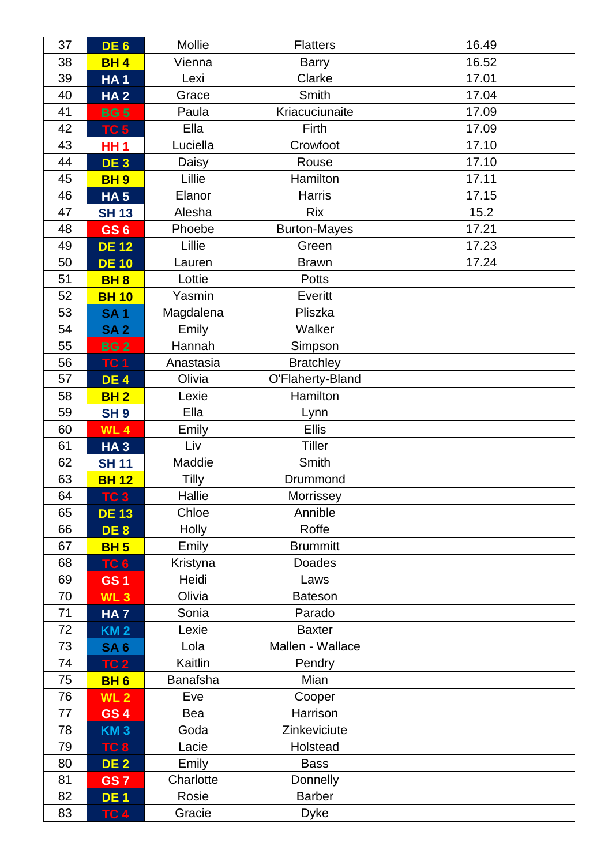| 37 | DE <sub>6</sub> | <b>Mollie</b>   | <b>Flatters</b>     | 16.49 |
|----|-----------------|-----------------|---------------------|-------|
| 38 | <b>BH4</b>      | Vienna          | <b>Barry</b>        | 16.52 |
| 39 | <b>HA1</b>      | Lexi            | Clarke              | 17.01 |
| 40 | <b>HA2</b>      | Grace           | Smith               | 17.04 |
| 41 | <b>BG 5</b>     | Paula           | Kriacuciunaite      | 17.09 |
| 42 | <b>TC 5</b>     | Ella            | Firth               | 17.09 |
| 43 | <b>HH1</b>      | Luciella        | Crowfoot            | 17.10 |
| 44 | DE <sub>3</sub> | Daisy           | Rouse               | 17.10 |
| 45 | <b>BH9</b>      | Lillie          | Hamilton            | 17.11 |
| 46 | <b>HA5</b>      | Elanor          | <b>Harris</b>       | 17.15 |
| 47 | <b>SH 13</b>    | Alesha          | <b>Rix</b>          | 15.2  |
| 48 | GS <sub>6</sub> | Phoebe          | <b>Burton-Mayes</b> | 17.21 |
| 49 | <b>DE 12</b>    | Lillie          | Green               | 17.23 |
| 50 | <b>DE 10</b>    | Lauren          | <b>Brawn</b>        | 17.24 |
| 51 | <b>BH8</b>      | Lottie          | <b>Potts</b>        |       |
| 52 | <b>BH 10</b>    | Yasmin          | Everitt             |       |
| 53 | <b>SA1</b>      | Magdalena       | Pliszka             |       |
| 54 | <b>SA2</b>      | Emily           | Walker              |       |
| 55 | <b>BG2</b>      | Hannah          | Simpson             |       |
| 56 | <b>TC 1</b>     | Anastasia       | <b>Bratchley</b>    |       |
| 57 | <b>DE4</b>      | Olivia          | O'Flaherty-Bland    |       |
| 58 | <b>BH2</b>      | Lexie           | Hamilton            |       |
| 59 | <b>SH9</b>      | Ella            | Lynn                |       |
| 60 | <b>WL4</b>      | Emily           | <b>Ellis</b>        |       |
| 61 | <b>HA3</b>      | Liv             | <b>Tiller</b>       |       |
| 62 | <b>SH 11</b>    | Maddie          | Smith               |       |
| 63 | <b>BH 12</b>    | <b>Tilly</b>    | Drummond            |       |
| 64 | TC <sub>3</sub> | Hallie          | Morrissey           |       |
| 65 | <b>DE 13</b>    | Chloe           | Annible             |       |
| 66 | DE <sub>8</sub> | Holly           | Roffe               |       |
| 67 | <b>BH 5</b>     | Emily           | <b>Brummitt</b>     |       |
| 68 | TC <sub>6</sub> | Kristyna        | Doades              |       |
| 69 | GS <sub>1</sub> | Heidi           | Laws                |       |
| 70 | <b>WL3</b>      | Olivia          | <b>Bateson</b>      |       |
| 71 | <b>HA7</b>      | Sonia           | Parado              |       |
| 72 | <b>KM2</b>      | Lexie           | <b>Baxter</b>       |       |
| 73 | <b>SA 6</b>     | Lola            | Mallen - Wallace    |       |
| 74 | <b>TC 2</b>     | Kaitlin         | Pendry              |       |
| 75 | <b>BH6</b>      | <b>Banafsha</b> | Mian                |       |
| 76 | <b>WL 2</b>     | Eve             | Cooper              |       |
| 77 | GS <sub>4</sub> | Bea             | Harrison            |       |
| 78 | <b>KM3</b>      | Goda            | Zinkeviciute        |       |
| 79 | TC <sub>8</sub> | Lacie           | Holstead            |       |
| 80 | <b>DE 2</b>     | Emily           | <b>Bass</b>         |       |
| 81 | GS <sub>7</sub> | Charlotte       | Donnelly            |       |
| 82 | DE <sub>1</sub> | Rosie           | <b>Barber</b>       |       |
| 83 | TC <sub>4</sub> | Gracie          | <b>Dyke</b>         |       |